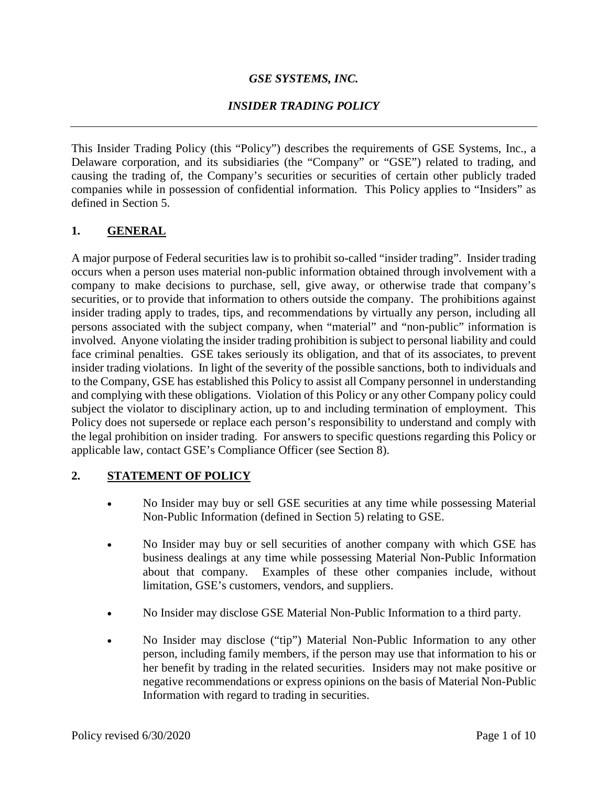## *GSE SYSTEMS, INC.*

## *INSIDER TRADING POLICY*

This Insider Trading Policy (this "Policy") describes the requirements of GSE Systems, Inc., a Delaware corporation, and its subsidiaries (the "Company" or "GSE") related to trading, and causing the trading of, the Company's securities or securities of certain other publicly traded companies while in possession of confidential information. This Policy applies to "Insiders" as defined in Section 5.

#### **1. GENERAL**

A major purpose of Federal securities law is to prohibit so-called "insider trading". Insider trading occurs when a person uses material non-public information obtained through involvement with a company to make decisions to purchase, sell, give away, or otherwise trade that company's securities, or to provide that information to others outside the company. The prohibitions against insider trading apply to trades, tips, and recommendations by virtually any person, including all persons associated with the subject company, when "material" and "non-public" information is involved. Anyone violating the insider trading prohibition is subject to personal liability and could face criminal penalties. GSE takes seriously its obligation, and that of its associates, to prevent insider trading violations. In light of the severity of the possible sanctions, both to individuals and to the Company, GSE has established this Policy to assist all Company personnel in understanding and complying with these obligations. Violation of this Policy or any other Company policy could subject the violator to disciplinary action, up to and including termination of employment. This Policy does not supersede or replace each person's responsibility to understand and comply with the legal prohibition on insider trading. For answers to specific questions regarding this Policy or applicable law, contact GSE's Compliance Officer (see Section 8).

#### **2. STATEMENT OF POLICY**

- No Insider may buy or sell GSE securities at any time while possessing Material Non-Public Information (defined in Section 5) relating to GSE.
- No Insider may buy or sell securities of another company with which GSE has business dealings at any time while possessing Material Non-Public Information about that company. Examples of these other companies include, without limitation, GSE's customers, vendors, and suppliers.
- No Insider may disclose GSE Material Non-Public Information to a third party.
- No Insider may disclose ("tip") Material Non-Public Information to any other person, including family members, if the person may use that information to his or her benefit by trading in the related securities. Insiders may not make positive or negative recommendations or express opinions on the basis of Material Non-Public Information with regard to trading in securities.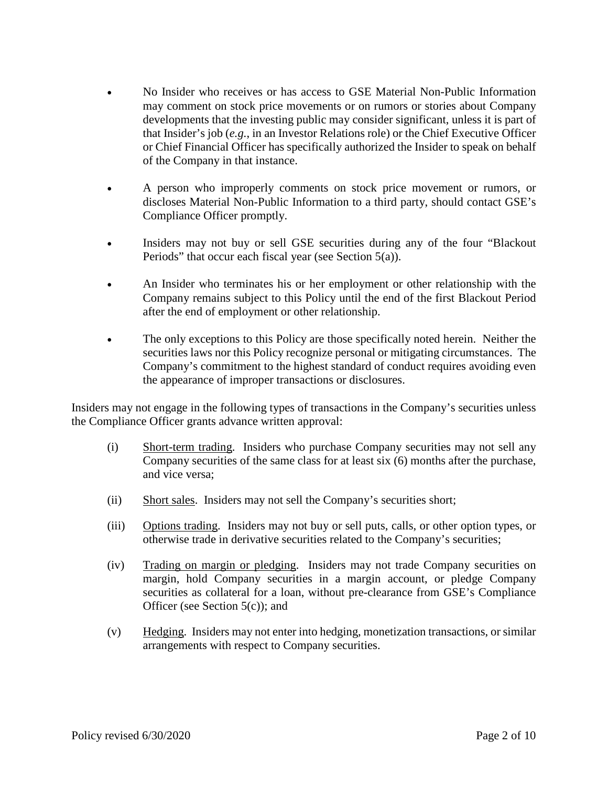- No Insider who receives or has access to GSE Material Non-Public Information may comment on stock price movements or on rumors or stories about Company developments that the investing public may consider significant, unless it is part of that Insider's job (*e.g.*, in an Investor Relations role) or the Chief Executive Officer or Chief Financial Officer has specifically authorized the Insider to speak on behalf of the Company in that instance.
- A person who improperly comments on stock price movement or rumors, or discloses Material Non-Public Information to a third party, should contact GSE's Compliance Officer promptly.
- Insiders may not buy or sell GSE securities during any of the four "Blackout Periods" that occur each fiscal year (see Section 5(a)).
- An Insider who terminates his or her employment or other relationship with the Company remains subject to this Policy until the end of the first Blackout Period after the end of employment or other relationship.
- The only exceptions to this Policy are those specifically noted herein. Neither the securities laws nor this Policy recognize personal or mitigating circumstances. The Company's commitment to the highest standard of conduct requires avoiding even the appearance of improper transactions or disclosures.

Insiders may not engage in the following types of transactions in the Company's securities unless the Compliance Officer grants advance written approval:

- (i) Short-term trading. Insiders who purchase Company securities may not sell any Company securities of the same class for at least six (6) months after the purchase, and vice versa;
- (ii) Short sales. Insiders may not sell the Company's securities short;
- (iii) Options trading. Insiders may not buy or sell puts, calls, or other option types, or otherwise trade in derivative securities related to the Company's securities;
- (iv) Trading on margin or pledging. Insiders may not trade Company securities on margin, hold Company securities in a margin account, or pledge Company securities as collateral for a loan, without pre-clearance from GSE's Compliance Officer (see Section 5(c)); and
- (v) Hedging. Insiders may not enter into hedging, monetization transactions, or similar arrangements with respect to Company securities.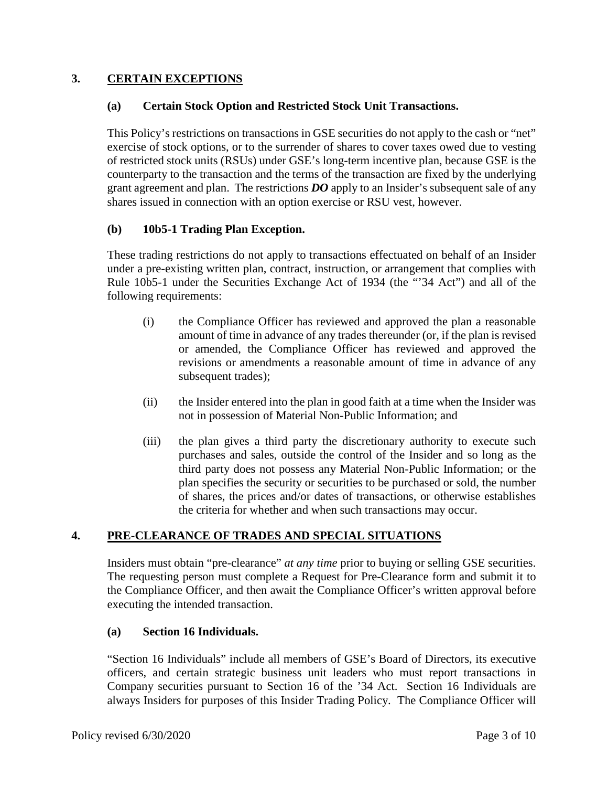## **3. CERTAIN EXCEPTIONS**

#### **(a) Certain Stock Option and Restricted Stock Unit Transactions.**

This Policy's restrictions on transactions in GSE securities do not apply to the cash or "net" exercise of stock options, or to the surrender of shares to cover taxes owed due to vesting of restricted stock units (RSUs) under GSE's long-term incentive plan, because GSE is the counterparty to the transaction and the terms of the transaction are fixed by the underlying grant agreement and plan. The restrictions *DO* apply to an Insider's subsequent sale of any shares issued in connection with an option exercise or RSU vest, however.

#### **(b) 10b5-1 Trading Plan Exception.**

These trading restrictions do not apply to transactions effectuated on behalf of an Insider under a pre-existing written plan, contract, instruction, or arrangement that complies with Rule 10b5-1 under the Securities Exchange Act of 1934 (the "'34 Act") and all of the following requirements:

- (i) the Compliance Officer has reviewed and approved the plan a reasonable amount of time in advance of any trades thereunder (or, if the plan is revised or amended, the Compliance Officer has reviewed and approved the revisions or amendments a reasonable amount of time in advance of any subsequent trades);
- (ii) the Insider entered into the plan in good faith at a time when the Insider was not in possession of Material Non-Public Information; and
- (iii) the plan gives a third party the discretionary authority to execute such purchases and sales, outside the control of the Insider and so long as the third party does not possess any Material Non-Public Information; or the plan specifies the security or securities to be purchased or sold, the number of shares, the prices and/or dates of transactions, or otherwise establishes the criteria for whether and when such transactions may occur.

## **4. PRE-CLEARANCE OF TRADES AND SPECIAL SITUATIONS**

Insiders must obtain "pre-clearance" *at any time* prior to buying or selling GSE securities. The requesting person must complete a Request for Pre-Clearance form and submit it to the Compliance Officer, and then await the Compliance Officer's written approval before executing the intended transaction.

#### **(a) Section 16 Individuals.**

"Section 16 Individuals" include all members of GSE's Board of Directors, its executive officers, and certain strategic business unit leaders who must report transactions in Company securities pursuant to Section 16 of the '34 Act. Section 16 Individuals are always Insiders for purposes of this Insider Trading Policy. The Compliance Officer will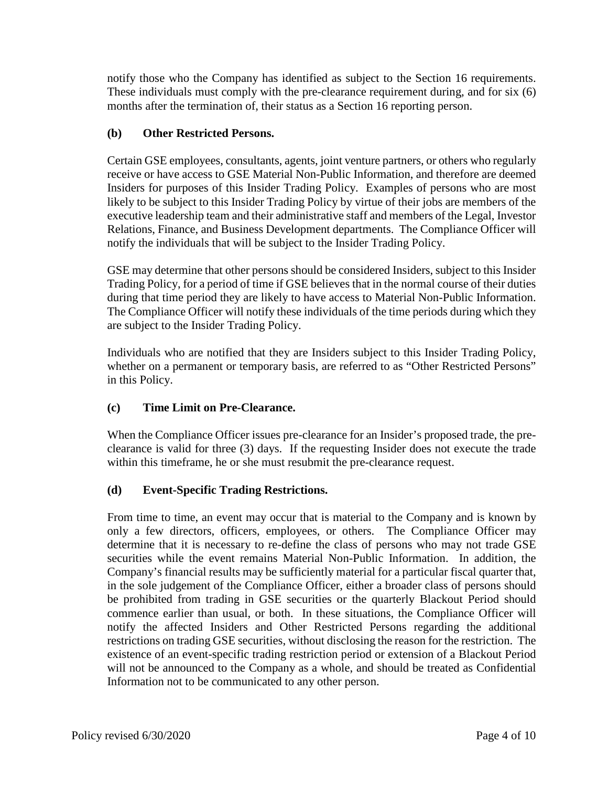notify those who the Company has identified as subject to the Section 16 requirements. These individuals must comply with the pre-clearance requirement during, and for six (6) months after the termination of, their status as a Section 16 reporting person.

## **(b) Other Restricted Persons.**

Certain GSE employees, consultants, agents, joint venture partners, or others who regularly receive or have access to GSE Material Non-Public Information, and therefore are deemed Insiders for purposes of this Insider Trading Policy. Examples of persons who are most likely to be subject to this Insider Trading Policy by virtue of their jobs are members of the executive leadership team and their administrative staff and members of the Legal, Investor Relations, Finance, and Business Development departments. The Compliance Officer will notify the individuals that will be subject to the Insider Trading Policy.

GSE may determine that other persons should be considered Insiders, subject to this Insider Trading Policy, for a period of time if GSE believes that in the normal course of their duties during that time period they are likely to have access to Material Non-Public Information. The Compliance Officer will notify these individuals of the time periods during which they are subject to the Insider Trading Policy.

Individuals who are notified that they are Insiders subject to this Insider Trading Policy, whether on a permanent or temporary basis, are referred to as "Other Restricted Persons" in this Policy.

# **(c) Time Limit on Pre-Clearance.**

When the Compliance Officer issues pre-clearance for an Insider's proposed trade, the preclearance is valid for three (3) days. If the requesting Insider does not execute the trade within this timeframe, he or she must resubmit the pre-clearance request.

# **(d) Event-Specific Trading Restrictions.**

From time to time, an event may occur that is material to the Company and is known by only a few directors, officers, employees, or others. The Compliance Officer may determine that it is necessary to re-define the class of persons who may not trade GSE securities while the event remains Material Non-Public Information. In addition, the Company's financial results may be sufficiently material for a particular fiscal quarter that, in the sole judgement of the Compliance Officer, either a broader class of persons should be prohibited from trading in GSE securities or the quarterly Blackout Period should commence earlier than usual, or both. In these situations, the Compliance Officer will notify the affected Insiders and Other Restricted Persons regarding the additional restrictions on trading GSE securities, without disclosing the reason for the restriction. The existence of an event-specific trading restriction period or extension of a Blackout Period will not be announced to the Company as a whole, and should be treated as Confidential Information not to be communicated to any other person.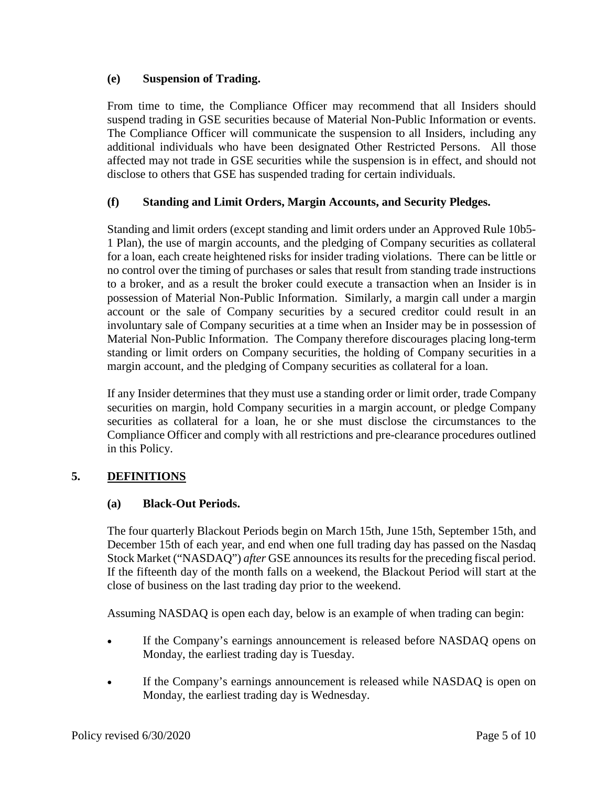#### **(e) Suspension of Trading.**

From time to time, the Compliance Officer may recommend that all Insiders should suspend trading in GSE securities because of Material Non-Public Information or events. The Compliance Officer will communicate the suspension to all Insiders, including any additional individuals who have been designated Other Restricted Persons. All those affected may not trade in GSE securities while the suspension is in effect, and should not disclose to others that GSE has suspended trading for certain individuals.

## **(f) Standing and Limit Orders, Margin Accounts, and Security Pledges.**

Standing and limit orders (except standing and limit orders under an Approved Rule 10b5- 1 Plan), the use of margin accounts, and the pledging of Company securities as collateral for a loan, each create heightened risks for insider trading violations. There can be little or no control over the timing of purchases or sales that result from standing trade instructions to a broker, and as a result the broker could execute a transaction when an Insider is in possession of Material Non-Public Information. Similarly, a margin call under a margin account or the sale of Company securities by a secured creditor could result in an involuntary sale of Company securities at a time when an Insider may be in possession of Material Non-Public Information. The Company therefore discourages placing long-term standing or limit orders on Company securities, the holding of Company securities in a margin account, and the pledging of Company securities as collateral for a loan.

If any Insider determines that they must use a standing order or limit order, trade Company securities on margin, hold Company securities in a margin account, or pledge Company securities as collateral for a loan, he or she must disclose the circumstances to the Compliance Officer and comply with all restrictions and pre-clearance procedures outlined in this Policy.

## **5. DEFINITIONS**

## **(a) Black-Out Periods.**

The four quarterly Blackout Periods begin on March 15th, June 15th, September 15th, and December 15th of each year, and end when one full trading day has passed on the Nasdaq Stock Market ("NASDAQ") *after* GSE announces its results for the preceding fiscal period. If the fifteenth day of the month falls on a weekend, the Blackout Period will start at the close of business on the last trading day prior to the weekend.

Assuming NASDAQ is open each day, below is an example of when trading can begin:

- If the Company's earnings announcement is released before NASDAQ opens on Monday, the earliest trading day is Tuesday.
- If the Company's earnings announcement is released while NASDAQ is open on Monday, the earliest trading day is Wednesday.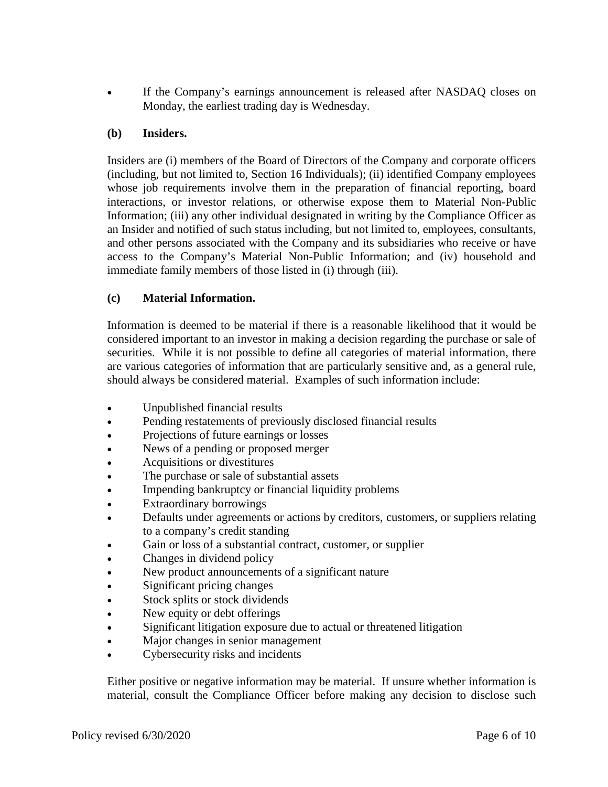If the Company's earnings announcement is released after NASDAQ closes on Monday, the earliest trading day is Wednesday.

#### **(b) Insiders.**

Insiders are (i) members of the Board of Directors of the Company and corporate officers (including, but not limited to, Section 16 Individuals); (ii) identified Company employees whose job requirements involve them in the preparation of financial reporting, board interactions, or investor relations, or otherwise expose them to Material Non-Public Information; (iii) any other individual designated in writing by the Compliance Officer as an Insider and notified of such status including, but not limited to, employees, consultants, and other persons associated with the Company and its subsidiaries who receive or have access to the Company's Material Non-Public Information; and (iv) household and immediate family members of those listed in (i) through (iii).

#### **(c) Material Information.**

Information is deemed to be material if there is a reasonable likelihood that it would be considered important to an investor in making a decision regarding the purchase or sale of securities. While it is not possible to define all categories of material information, there are various categories of information that are particularly sensitive and, as a general rule, should always be considered material. Examples of such information include:

- Unpublished financial results
- Pending restatements of previously disclosed financial results
- Projections of future earnings or losses
- News of a pending or proposed merger
- Acquisitions or divestitures
- The purchase or sale of substantial assets
- Impending bankruptcy or financial liquidity problems
- Extraordinary borrowings
- Defaults under agreements or actions by creditors, customers, or suppliers relating to a company's credit standing
- Gain or loss of a substantial contract, customer, or supplier
- Changes in dividend policy
- New product announcements of a significant nature
- Significant pricing changes
- Stock splits or stock dividends
- New equity or debt offerings
- Significant litigation exposure due to actual or threatened litigation
- Major changes in senior management
- Cybersecurity risks and incidents

Either positive or negative information may be material. If unsure whether information is material, consult the Compliance Officer before making any decision to disclose such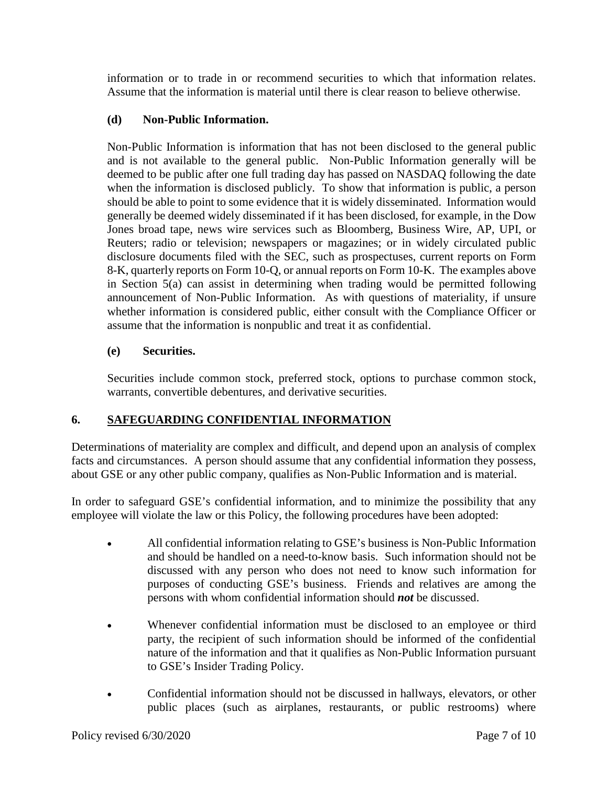information or to trade in or recommend securities to which that information relates. Assume that the information is material until there is clear reason to believe otherwise.

#### **(d) Non-Public Information.**

Non-Public Information is information that has not been disclosed to the general public and is not available to the general public. Non-Public Information generally will be deemed to be public after one full trading day has passed on NASDAQ following the date when the information is disclosed publicly. To show that information is public, a person should be able to point to some evidence that it is widely disseminated. Information would generally be deemed widely disseminated if it has been disclosed, for example, in the Dow Jones broad tape, news wire services such as Bloomberg, Business Wire, AP, UPI, or Reuters; radio or television; newspapers or magazines; or in widely circulated public disclosure documents filed with the SEC, such as prospectuses, current reports on Form 8-K, quarterly reports on Form 10-Q, or annual reports on Form 10-K. The examples above in Section 5(a) can assist in determining when trading would be permitted following announcement of Non-Public Information. As with questions of materiality, if unsure whether information is considered public, either consult with the Compliance Officer or assume that the information is nonpublic and treat it as confidential.

#### **(e) Securities.**

Securities include common stock, preferred stock, options to purchase common stock, warrants, convertible debentures, and derivative securities.

## **6. SAFEGUARDING CONFIDENTIAL INFORMATION**

Determinations of materiality are complex and difficult, and depend upon an analysis of complex facts and circumstances. A person should assume that any confidential information they possess, about GSE or any other public company, qualifies as Non-Public Information and is material.

In order to safeguard GSE's confidential information, and to minimize the possibility that any employee will violate the law or this Policy, the following procedures have been adopted:

- All confidential information relating to GSE's business is Non-Public Information and should be handled on a need-to-know basis. Such information should not be discussed with any person who does not need to know such information for purposes of conducting GSE's business. Friends and relatives are among the persons with whom confidential information should *not* be discussed.
- Whenever confidential information must be disclosed to an employee or third party, the recipient of such information should be informed of the confidential nature of the information and that it qualifies as Non-Public Information pursuant to GSE's Insider Trading Policy.
- Confidential information should not be discussed in hallways, elevators, or other public places (such as airplanes, restaurants, or public restrooms) where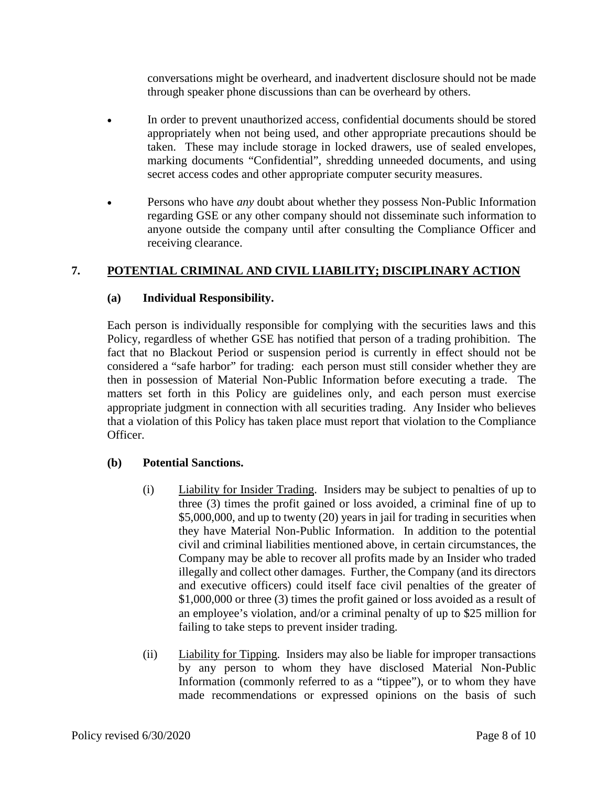conversations might be overheard, and inadvertent disclosure should not be made through speaker phone discussions than can be overheard by others.

- In order to prevent unauthorized access, confidential documents should be stored appropriately when not being used, and other appropriate precautions should be taken. These may include storage in locked drawers, use of sealed envelopes, marking documents "Confidential", shredding unneeded documents, and using secret access codes and other appropriate computer security measures.
- Persons who have *any* doubt about whether they possess Non-Public Information regarding GSE or any other company should not disseminate such information to anyone outside the company until after consulting the Compliance Officer and receiving clearance.

## **7. POTENTIAL CRIMINAL AND CIVIL LIABILITY; DISCIPLINARY ACTION**

#### **(a) Individual Responsibility.**

Each person is individually responsible for complying with the securities laws and this Policy, regardless of whether GSE has notified that person of a trading prohibition. The fact that no Blackout Period or suspension period is currently in effect should not be considered a "safe harbor" for trading: each person must still consider whether they are then in possession of Material Non-Public Information before executing a trade. The matters set forth in this Policy are guidelines only, and each person must exercise appropriate judgment in connection with all securities trading. Any Insider who believes that a violation of this Policy has taken place must report that violation to the Compliance Officer.

## **(b) Potential Sanctions.**

- (i) Liability for Insider Trading. Insiders may be subject to penalties of up to three (3) times the profit gained or loss avoided, a criminal fine of up to \$5,000,000, and up to twenty (20) years in jail for trading in securities when they have Material Non-Public Information. In addition to the potential civil and criminal liabilities mentioned above, in certain circumstances, the Company may be able to recover all profits made by an Insider who traded illegally and collect other damages. Further, the Company (and its directors and executive officers) could itself face civil penalties of the greater of \$1,000,000 or three (3) times the profit gained or loss avoided as a result of an employee's violation, and/or a criminal penalty of up to \$25 million for failing to take steps to prevent insider trading.
- (ii) Liability for Tipping. Insiders may also be liable for improper transactions by any person to whom they have disclosed Material Non-Public Information (commonly referred to as a "tippee"), or to whom they have made recommendations or expressed opinions on the basis of such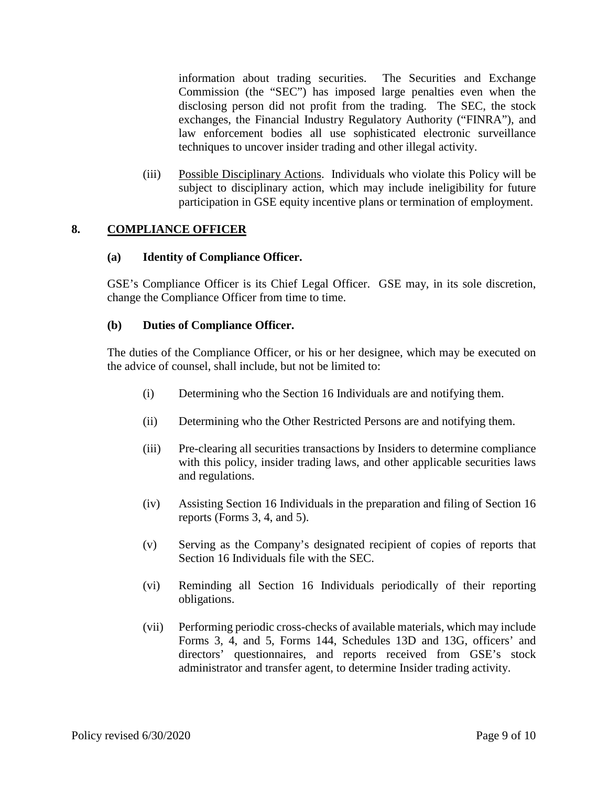information about trading securities. The Securities and Exchange Commission (the "SEC") has imposed large penalties even when the disclosing person did not profit from the trading. The SEC, the stock exchanges, the Financial Industry Regulatory Authority ("FINRA"), and law enforcement bodies all use sophisticated electronic surveillance techniques to uncover insider trading and other illegal activity.

(iii) Possible Disciplinary Actions. Individuals who violate this Policy will be subject to disciplinary action, which may include ineligibility for future participation in GSE equity incentive plans or termination of employment.

## **8. COMPLIANCE OFFICER**

#### **(a) Identity of Compliance Officer.**

GSE's Compliance Officer is its Chief Legal Officer. GSE may, in its sole discretion, change the Compliance Officer from time to time.

#### **(b) Duties of Compliance Officer.**

The duties of the Compliance Officer, or his or her designee, which may be executed on the advice of counsel, shall include, but not be limited to:

- (i) Determining who the Section 16 Individuals are and notifying them.
- (ii) Determining who the Other Restricted Persons are and notifying them.
- (iii) Pre-clearing all securities transactions by Insiders to determine compliance with this policy, insider trading laws, and other applicable securities laws and regulations.
- (iv) Assisting Section 16 Individuals in the preparation and filing of Section 16 reports (Forms 3, 4, and 5).
- (v) Serving as the Company's designated recipient of copies of reports that Section 16 Individuals file with the SEC.
- (vi) Reminding all Section 16 Individuals periodically of their reporting obligations.
- (vii) Performing periodic cross-checks of available materials, which may include Forms 3, 4, and 5, Forms 144, Schedules 13D and 13G, officers' and directors' questionnaires, and reports received from GSE's stock administrator and transfer agent, to determine Insider trading activity.